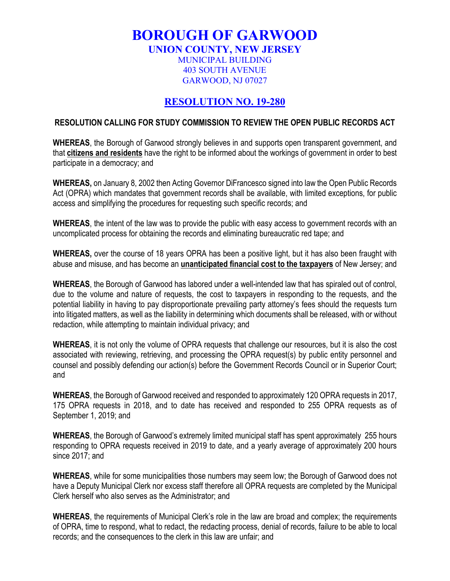## **BOROUGH OF GARWOOD**

**UNION COUNTY, NEW JERSEY**

MUNICIPAL BUILDING 403 SOUTH AVENUE GARWOOD, NJ 07027

## **RESOLUTION NO. 19-280**

## **RESOLUTION CALLING FOR STUDY COMMISSION TO REVIEW THE OPEN PUBLIC RECORDS ACT**

**WHEREAS**, the Borough of Garwood strongly believes in and supports open transparent government, and that **citizens and residents** have the right to be informed about the workings of government in order to best participate in a democracy; and

**WHEREAS,** on January 8, 2002 then Acting Governor DiFrancesco signed into law the Open Public Records Act (OPRA) which mandates that government records shall be available, with limited exceptions, for public access and simplifying the procedures for requesting such specific records; and

**WHEREAS**, the intent of the law was to provide the public with easy access to government records with an uncomplicated process for obtaining the records and eliminating bureaucratic red tape; and

**WHEREAS,** over the course of 18 years OPRA has been a positive light, but it has also been fraught with abuse and misuse, and has become an **unanticipated financial cost to the taxpayers** of New Jersey; and

**WHEREAS**, the Borough of Garwood has labored under a well-intended law that has spiraled out of control, due to the volume and nature of requests, the cost to taxpayers in responding to the requests, and the potential liability in having to pay disproportionate prevailing party attorney's fees should the requests turn into litigated matters, as well as the liability in determining which documents shall be released, with or without redaction, while attempting to maintain individual privacy; and

**WHEREAS**, it is not only the volume of OPRA requests that challenge our resources, but it is also the cost associated with reviewing, retrieving, and processing the OPRA request(s) by public entity personnel and counsel and possibly defending our action(s) before the Government Records Council or in Superior Court; and

**WHEREAS**, the Borough of Garwood received and responded to approximately 120 OPRA requests in 2017, 175 OPRA requests in 2018, and to date has received and responded to 255 OPRA requests as of September 1, 2019; and

**WHEREAS**, the Borough of Garwood's extremely limited municipal staff has spent approximately 255 hours responding to OPRA requests received in 2019 to date, and a yearly average of approximately 200 hours since 2017; and

**WHEREAS**, while for some municipalities those numbers may seem low; the Borough of Garwood does not have a Deputy Municipal Clerk nor excess staff therefore all OPRA requests are completed by the Municipal Clerk herself who also serves as the Administrator; and

**WHEREAS**, the requirements of Municipal Clerk's role in the law are broad and complex; the requirements of OPRA, time to respond, what to redact, the redacting process, denial of records, failure to be able to local records; and the consequences to the clerk in this law are unfair; and